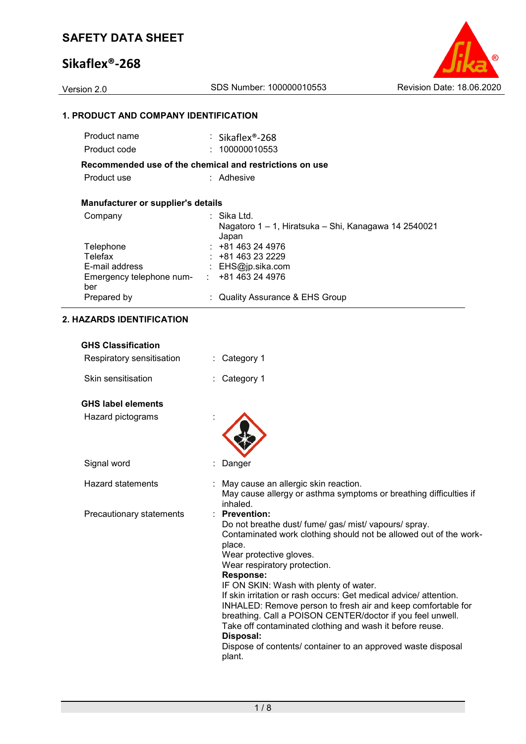## **Sikaflex®-268**

Version 2.0 SDS Number: 100000010553 Revision Date: 18.06.2020

### **1. PRODUCT AND COMPANY IDENTIFICATION**

| Product name                              | $\therefore$ Sikaflex®-268                                                   |
|-------------------------------------------|------------------------------------------------------------------------------|
| Product code                              | : 100000010553                                                               |
|                                           | Recommended use of the chemical and restrictions on use                      |
| Product use                               | : Adhesive                                                                   |
| <b>Manufacturer or supplier's details</b> |                                                                              |
| Company                                   | ⊹ Sika Ltd.<br>Nagatoro 1 – 1, Hiratsuka – Shi, Kanagawa 14 2540021<br>Japan |
| Telephone                                 | $: +81463244976$                                                             |
| Telefax                                   | $\div$ +81 463 23 2229                                                       |
| E-mail address                            | : $EHS@ip.sika.com$                                                          |
| Emergency telephone num-<br>ber           | $\div$ +81 463 24 4976                                                       |
| Prepared by                               | : Quality Assurance & EHS Group                                              |
|                                           |                                                                              |

### **2. HAZARDS IDENTIFICATION**

| <b>GHS Classification</b> |                                                                                                                                                                                                                                                                                                                                                                                                                                                                                                                                                                                                                                          |
|---------------------------|------------------------------------------------------------------------------------------------------------------------------------------------------------------------------------------------------------------------------------------------------------------------------------------------------------------------------------------------------------------------------------------------------------------------------------------------------------------------------------------------------------------------------------------------------------------------------------------------------------------------------------------|
| Respiratory sensitisation | Category 1                                                                                                                                                                                                                                                                                                                                                                                                                                                                                                                                                                                                                               |
| Skin sensitisation        | Category 1                                                                                                                                                                                                                                                                                                                                                                                                                                                                                                                                                                                                                               |
| <b>GHS label elements</b> |                                                                                                                                                                                                                                                                                                                                                                                                                                                                                                                                                                                                                                          |
| Hazard pictograms         |                                                                                                                                                                                                                                                                                                                                                                                                                                                                                                                                                                                                                                          |
| Signal word               | Danger                                                                                                                                                                                                                                                                                                                                                                                                                                                                                                                                                                                                                                   |
| Hazard statements         | May cause an allergic skin reaction.<br>May cause allergy or asthma symptoms or breathing difficulties if<br>inhaled.                                                                                                                                                                                                                                                                                                                                                                                                                                                                                                                    |
| Precautionary statements  | <b>Prevention:</b><br>Do not breathe dust/ fume/ gas/ mist/ vapours/ spray.<br>Contaminated work clothing should not be allowed out of the work-<br>place.<br>Wear protective gloves.<br>Wear respiratory protection.<br><b>Response:</b><br>IF ON SKIN: Wash with plenty of water.<br>If skin irritation or rash occurs: Get medical advice/attention.<br>INHALED: Remove person to fresh air and keep comfortable for<br>breathing. Call a POISON CENTER/doctor if you feel unwell.<br>Take off contaminated clothing and wash it before reuse.<br>Disposal:<br>Dispose of contents/ container to an approved waste disposal<br>plant. |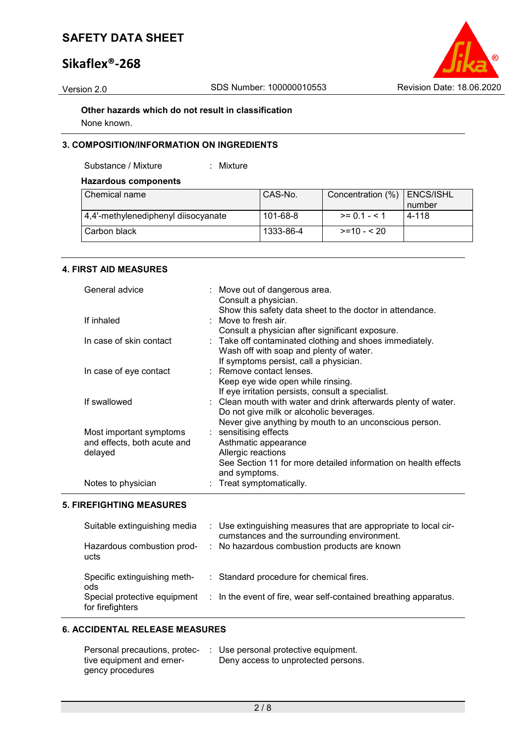## **Sikaflex®-268**



**Other hazards which do not result in classification** None known.

### **3. COMPOSITION/INFORMATION ON INGREDIENTS**

Substance / Mixture : Mixture

### **Hazardous components**

| Chemical name                       | CAS-No.   | Concentration (%) | ENCS/ISHL |
|-------------------------------------|-----------|-------------------|-----------|
|                                     |           |                   | number    |
| 4,4'-methylenediphenyl diisocyanate | 101-68-8  | $>= 0.1 - 5.1$    | 4-118     |
| Carbon black                        | 1333-86-4 | $>=10 - 520$      |           |

### **4. FIRST AID MEASURES**

| General advice                                                    | : Move out of dangerous area.<br>Consult a physician.<br>Show this safety data sheet to the doctor in attendance.                                               |
|-------------------------------------------------------------------|-----------------------------------------------------------------------------------------------------------------------------------------------------------------|
| If inhaled                                                        | : Move to fresh air.                                                                                                                                            |
| In case of skin contact                                           | Consult a physician after significant exposure.<br>: Take off contaminated clothing and shoes immediately.<br>Wash off with soap and plenty of water.           |
| In case of eye contact                                            | If symptoms persist, call a physician.<br>: Remove contact lenses.<br>Keep eye wide open while rinsing.                                                         |
| If swallowed                                                      | If eye irritation persists, consult a specialist.<br>: Clean mouth with water and drink afterwards plenty of water.<br>Do not give milk or alcoholic beverages. |
| Most important symptoms<br>and effects, both acute and<br>delayed | Never give anything by mouth to an unconscious person.<br>$:$ sensitising effects<br>Asthmatic appearance<br>Allergic reactions                                 |
| Notes to physician                                                | See Section 11 for more detailed information on health effects<br>and symptoms.<br>: Treat symptomatically.                                                     |

### **5. FIREFIGHTING MEASURES**

| Suitable extinguishing media                                                            | : Use extinguishing measures that are appropriate to local cir-                                                         |
|-----------------------------------------------------------------------------------------|-------------------------------------------------------------------------------------------------------------------------|
| Hazardous combustion prod-                                                              | cumstances and the surrounding environment.                                                                             |
| ucts                                                                                    | : No hazardous combustion products are known                                                                            |
| Specific extinguishing meth-<br>ods<br>Special protective equipment<br>for firefighters | : Standard procedure for chemical fires.<br>$\therefore$ In the event of fire, wear self-contained breathing apparatus. |

### **6. ACCIDENTAL RELEASE MEASURES**

| Personal precautions, protec- | $\therefore$ Use personal protective equipment. |
|-------------------------------|-------------------------------------------------|
| tive equipment and emer-      | Deny access to unprotected persons.             |
| gency procedures              |                                                 |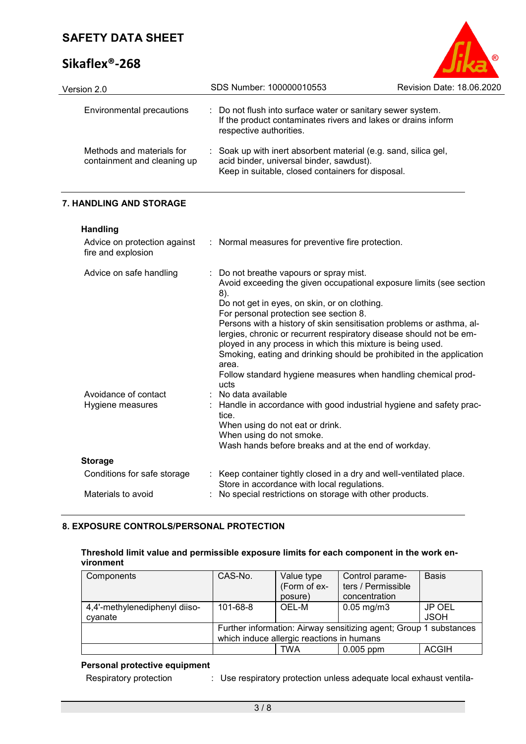## **Sikaflex®-268**



| Version 2.0                                              | SDS Number: 100000010553                                                                                                                                       | <b>Revision Date: 18.06.2020</b> |
|----------------------------------------------------------|----------------------------------------------------------------------------------------------------------------------------------------------------------------|----------------------------------|
| Environmental precautions                                | : Do not flush into surface water or sanitary sewer system.<br>If the product contaminates rivers and lakes or drains inform<br>respective authorities.        |                                  |
| Methods and materials for<br>containment and cleaning up | Soak up with inert absorbent material (e.g. sand, silica gel,<br>acid binder, universal binder, sawdust).<br>Keep in suitable, closed containers for disposal. |                                  |

### **7. HANDLING AND STORAGE**

**Handling**

| .<br>Advice on protection against        | : Normal measures for preventive fire protection.                                                                                                                                                                                                                                                                                                                                                                                                                                                                                                                                      |
|------------------------------------------|----------------------------------------------------------------------------------------------------------------------------------------------------------------------------------------------------------------------------------------------------------------------------------------------------------------------------------------------------------------------------------------------------------------------------------------------------------------------------------------------------------------------------------------------------------------------------------------|
| fire and explosion                       |                                                                                                                                                                                                                                                                                                                                                                                                                                                                                                                                                                                        |
| Advice on safe handling                  | : Do not breathe vapours or spray mist.<br>Avoid exceeding the given occupational exposure limits (see section<br>8).<br>Do not get in eyes, on skin, or on clothing.<br>For personal protection see section 8.<br>Persons with a history of skin sensitisation problems or asthma, al-<br>lergies, chronic or recurrent respiratory disease should not be em-<br>ployed in any process in which this mixture is being used.<br>Smoking, eating and drinking should be prohibited in the application<br>area.<br>Follow standard hygiene measures when handling chemical prod-<br>ucts |
| Avoidance of contact<br>Hygiene measures | $:$ No data available<br>: Handle in accordance with good industrial hygiene and safety prac-<br>tice.<br>When using do not eat or drink.<br>When using do not smoke.<br>Wash hands before breaks and at the end of workday.                                                                                                                                                                                                                                                                                                                                                           |
| <b>Storage</b>                           |                                                                                                                                                                                                                                                                                                                                                                                                                                                                                                                                                                                        |
| Conditions for safe storage              | : Keep container tightly closed in a dry and well-ventilated place.<br>Store in accordance with local regulations.                                                                                                                                                                                                                                                                                                                                                                                                                                                                     |
| Materials to avoid                       | : No special restrictions on storage with other products.                                                                                                                                                                                                                                                                                                                                                                                                                                                                                                                              |

### **8. EXPOSURE CONTROLS/PERSONAL PROTECTION**

### **Threshold limit value and permissible exposure limits for each component in the work environment**

| Components                    | CAS-No.  | Value type                                | Control parame-                                                   | <b>Basis</b> |
|-------------------------------|----------|-------------------------------------------|-------------------------------------------------------------------|--------------|
|                               |          | (Form of ex-                              | ters / Permissible                                                |              |
|                               |          | posure)                                   | concentration                                                     |              |
| 4,4'-methylenediphenyl diiso- | 101-68-8 | OEL-M                                     | $0.05$ mg/m $3$                                                   | JP OEL       |
| cyanate                       |          |                                           |                                                                   | <b>JSOH</b>  |
|                               |          |                                           | Further information: Airway sensitizing agent; Group 1 substances |              |
|                               |          | which induce allergic reactions in humans |                                                                   |              |
|                               |          | TWA                                       | $0.005$ ppm                                                       | <b>ACGIH</b> |

### **Personal protective equipment**

| Respiratory protection | Use respiratory protection unless adequate local exhaust ventila- |
|------------------------|-------------------------------------------------------------------|
|                        |                                                                   |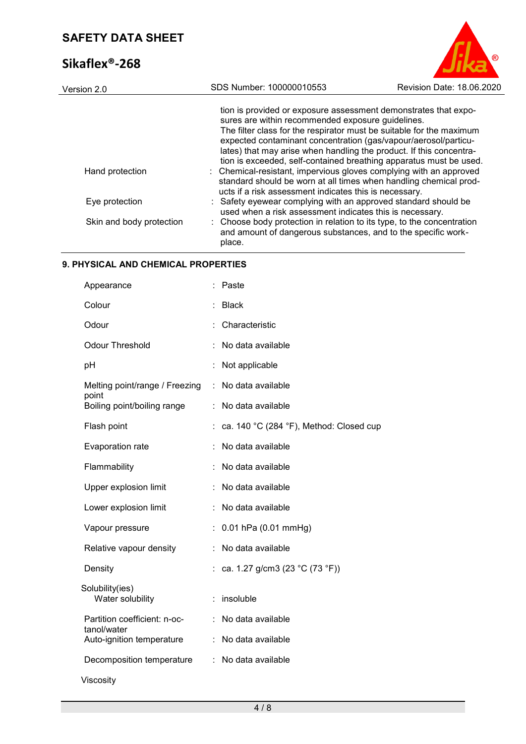## **Sikaflex®-268**



| Version 2.0              | SDS Number: 100000010553                                                                                                                          | Revision Date: 18.06.2020                                                                                                                                                                                                                                                                                                                               |
|--------------------------|---------------------------------------------------------------------------------------------------------------------------------------------------|---------------------------------------------------------------------------------------------------------------------------------------------------------------------------------------------------------------------------------------------------------------------------------------------------------------------------------------------------------|
|                          | sures are within recommended exposure guidelines.                                                                                                 | tion is provided or exposure assessment demonstrates that expo-<br>The filter class for the respirator must be suitable for the maximum<br>expected contaminant concentration (gas/vapour/aerosol/particu-<br>lates) that may arise when handling the product. If this concentra-<br>tion is exceeded, self-contained breathing apparatus must be used. |
| Hand protection          | : Chemical-resistant, impervious gloves complying with an approved<br>ucts if a risk assessment indicates this is necessary.                      | standard should be worn at all times when handling chemical prod-                                                                                                                                                                                                                                                                                       |
| Eye protection           | : Safety eyewear complying with an approved standard should be<br>used when a risk assessment indicates this is necessary.                        |                                                                                                                                                                                                                                                                                                                                                         |
| Skin and body protection | : Choose body protection in relation to its type, to the concentration<br>and amount of dangerous substances, and to the specific work-<br>place. |                                                                                                                                                                                                                                                                                                                                                         |

### **9. PHYSICAL AND CHEMICAL PROPERTIES**

| Appearance                                  |   | Paste                                   |
|---------------------------------------------|---|-----------------------------------------|
| Colour                                      |   | <b>Black</b>                            |
| Odour                                       |   | Characteristic                          |
| <b>Odour Threshold</b>                      |   | No data available                       |
| pH                                          |   | Not applicable                          |
| Melting point/range / Freezing<br>point     | ÷ | No data available                       |
| Boiling point/boiling range                 | t | No data available                       |
| Flash point                                 |   | ca. 140 °C (284 °F), Method: Closed cup |
| Evaporation rate                            |   | No data available                       |
| Flammability                                |   | No data available                       |
| Upper explosion limit                       |   | No data available                       |
| Lower explosion limit                       |   | No data available                       |
| Vapour pressure                             |   | $0.01$ hPa $(0.01$ mmHg)                |
| Relative vapour density                     | t | No data available                       |
| Density                                     |   | ca. 1.27 g/cm3 (23 °C (73 °F))          |
| Solubility(ies)<br>Water solubility         |   | insoluble                               |
| Partition coefficient: n-oc-<br>tanol/water |   | No data available                       |
| Auto-ignition temperature                   |   | No data available                       |
| Decomposition temperature                   | ÷ | No data available                       |
| Viscosity                                   |   |                                         |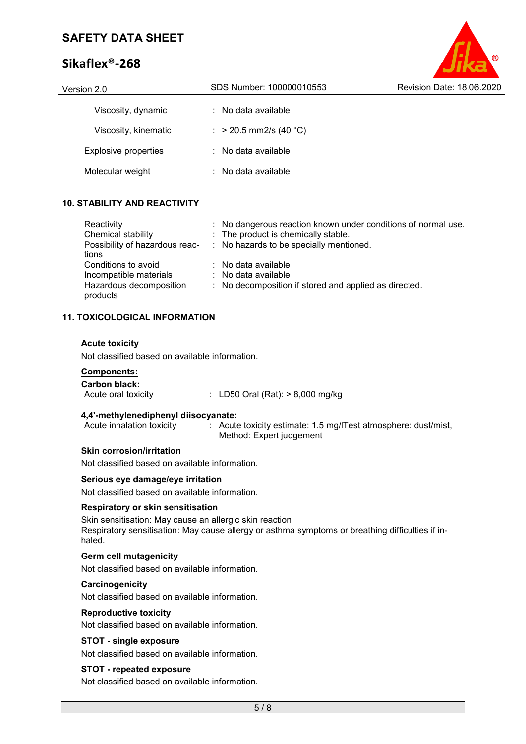## **Sikaflex®-268**



| Version 2.0                 | SDS Number: 100000010553       | Revision Date: 18.06.2020 |
|-----------------------------|--------------------------------|---------------------------|
| Viscosity, dynamic          | $\therefore$ No data available |                           |
| Viscosity, kinematic        | : > 20.5 mm2/s (40 °C)         |                           |
| <b>Explosive properties</b> | $\therefore$ No data available |                           |
| Molecular weight            | $\therefore$ No data available |                           |
|                             |                                |                           |

### **10. STABILITY AND REACTIVITY**

| Reactivity<br>Chemical stability<br>Possibility of hazardous reac-<br>tions          | : No dangerous reaction known under conditions of normal use.<br>: The product is chemically stable.<br>: No hazards to be specially mentioned. |
|--------------------------------------------------------------------------------------|-------------------------------------------------------------------------------------------------------------------------------------------------|
| Conditions to avoid<br>Incompatible materials<br>Hazardous decomposition<br>products | : No data available<br>$\therefore$ No data available<br>: No decomposition if stored and applied as directed.                                  |

### **11. TOXICOLOGICAL INFORMATION**

### **Acute toxicity**

Not classified based on available information.

## **Components:**

**Carbon black:**  $\therefore$  LD50 Oral (Rat): > 8,000 mg/kg

# **4,4'-methylenediphenyl diisocyanate:**

: Acute toxicity estimate: 1.5 mg/lTest atmosphere: dust/mist, Method: Expert judgement

### **Skin corrosion/irritation**

Not classified based on available information.

### **Serious eye damage/eye irritation**

Not classified based on available information.

### **Respiratory or skin sensitisation**

Skin sensitisation: May cause an allergic skin reaction Respiratory sensitisation: May cause allergy or asthma symptoms or breathing difficulties if inhaled.

### **Germ cell mutagenicity**

Not classified based on available information.

### **Carcinogenicity**

Not classified based on available information.

#### **Reproductive toxicity**

Not classified based on available information.

### **STOT - single exposure**

Not classified based on available information.

#### **STOT - repeated exposure**

Not classified based on available information.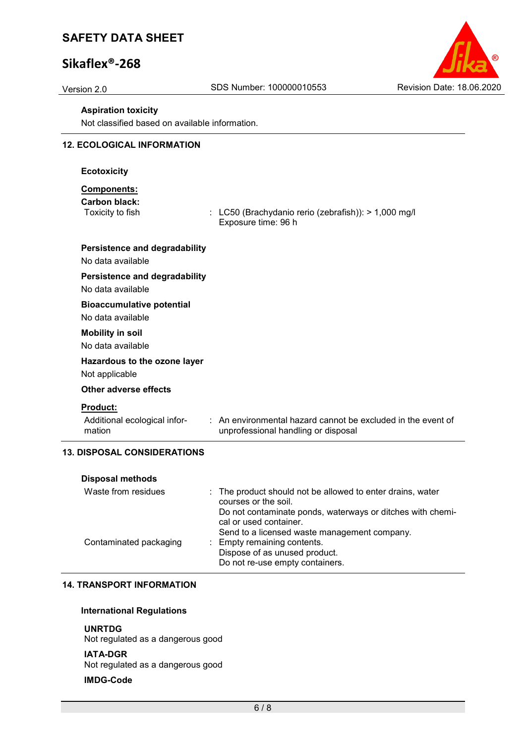## **Sikaflex®-268**



#### **Aspiration toxicity**

Not classified based on available information.

### **12. ECOLOGICAL INFORMATION**

#### **Ecotoxicity**

### **Components:**

**Carbon black:**

 $\therefore$  LC50 (Brachydanio rerio (zebrafish)): > 1,000 mg/l Exposure time: 96 h

### **Persistence and degradability**

No data available

### **Persistence and degradability**

No data available

#### **Bioaccumulative potential**

No data available

#### **Mobility in soil**

No data available

### **Hazardous to the ozone layer**

Not applicable

#### **Other adverse effects**

#### **Product:**

Additional ecological information

: An environmental hazard cannot be excluded in the event of unprofessional handling or disposal

### **13. DISPOSAL CONSIDERATIONS**

| <b>Disposal methods</b> |                                                                                      |
|-------------------------|--------------------------------------------------------------------------------------|
| Waste from residues     | : The product should not be allowed to enter drains, water<br>courses or the soil.   |
|                         | Do not contaminate ponds, waterways or ditches with chemi-<br>cal or used container. |
|                         | Send to a licensed waste management company.                                         |
| Contaminated packaging  | : Empty remaining contents.                                                          |
|                         | Dispose of as unused product.                                                        |
|                         | Do not re-use empty containers.                                                      |

### **14. TRANSPORT INFORMATION**

#### **International Regulations**

#### **UNRTDG**

Not regulated as a dangerous good

#### **IATA-DGR**

Not regulated as a dangerous good

#### **IMDG-Code**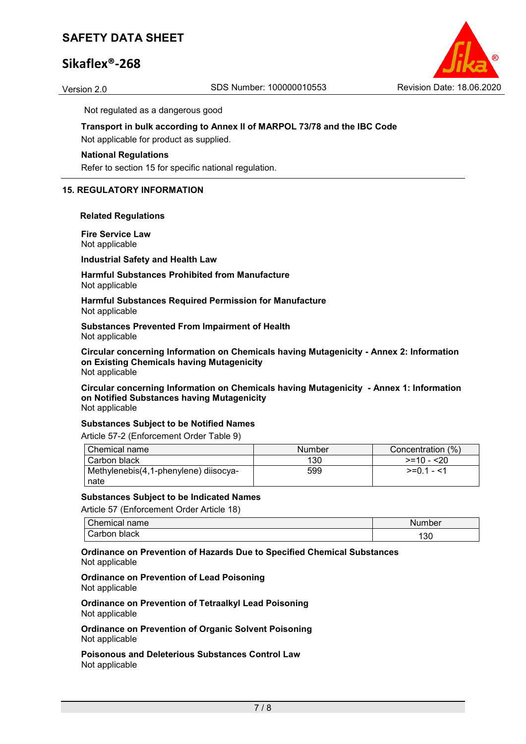## **Sikaflex®-268**



Not regulated as a dangerous good

## **Transport in bulk according to Annex II of MARPOL 73/78 and the IBC Code**

Not applicable for product as supplied.

#### **National Regulations**

Refer to section 15 for specific national regulation.

### **15. REGULATORY INFORMATION**

#### **Related Regulations**

**Fire Service Law** Not applicable

**Industrial Safety and Health Law**

#### **Harmful Substances Prohibited from Manufacture** Not applicable

**Harmful Substances Required Permission for Manufacture** Not applicable

**Substances Prevented From Impairment of Health** Not applicable

**Circular concerning Information on Chemicals having Mutagenicity - Annex 2: Information on Existing Chemicals having Mutagenicity** Not applicable

**Circular concerning Information on Chemicals having Mutagenicity - Annex 1: Information on Notified Substances having Mutagenicity** Not applicable

#### **Substances Subject to be Notified Names**

Article 57-2 (Enforcement Order Table 9)

| Chemical name                         | Number | Concentration (%) |
|---------------------------------------|--------|-------------------|
| l Carbon black                        | 130    | $>=10 - 20$       |
| Methylenebis(4,1-phenylene) diisocya- | 599    | $>= 01 - 1$       |
| nate                                  |        |                   |

#### **Substances Subject to be Indicated Names**

Article 57 (Enforcement Order Article 18)

| $\sim$<br>:`hemical<br>name | Number |
|-----------------------------|--------|
| black<br>arborٽ ت           | 130    |

**Ordinance on Prevention of Hazards Due to Specified Chemical Substances** Not applicable

#### **Ordinance on Prevention of Lead Poisoning** Not applicable

**Ordinance on Prevention of Tetraalkyl Lead Poisoning** Not applicable

**Ordinance on Prevention of Organic Solvent Poisoning** Not applicable

**Poisonous and Deleterious Substances Control Law** Not applicable